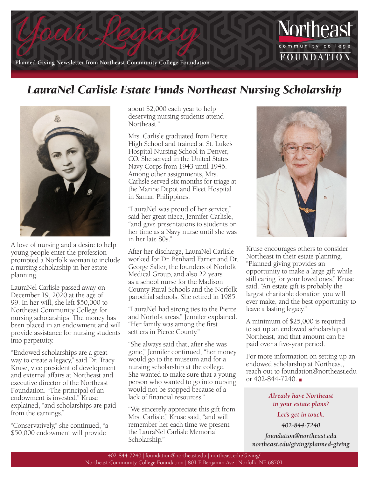

## *LauraNel Carlisle Estate Funds Northeast Nursing Scholarship*



A love of nursing and a desire to help young people enter the profession prompted a Norfolk woman to include a nursing scholarship in her estate planning.

LauraNel Carlisle passed away on December 19, 2020 at the age of 99. In her will, she left \$50,000 to Northeast Community College for nursing scholarships. The money has been placed in an endowment and will provide assistance for nursing students into perpetuity.

"Endowed scholarships are a great way to create a legacy," said Dr. Tracy Kruse, vice president of development and external affairs at Northeast and executive director of the Northeast Foundation. "The principal of an endowment is invested," Kruse explained, "and scholarships are paid from the earnings."

"Conservatively," she continued, "a \$50,000 endowment will provide

about \$2,000 each year to help deserving nursing students attend Northeast."

Mrs. Carlisle graduated from Pierce High School and trained at St. Luke's Hospital Nursing School in Denver, CO. She served in the United States Navy Corps from 1943 until 1946. Among other assignments, Mrs. Carlisle served six months for triage at the Marine Depot and Fleet Hospital in Samar, Philippines.

"LauraNel was proud of her service," said her great niece, Jennifer Carlisle, "and gave presentations to students on her time as a Navy nurse until she was in her late 80s."

After her discharge, LauraNel Carlisle worked for Dr. Benhard Farner and Dr. George Salter, the founders of Norfolk Medical Group, and also 22 years as a school nurse for the Madison County Rural Schools and the Norfolk parochial schools. She retired in 1985.

"LauraNel had strong ties to the Pierce and Norfolk areas," Jennifer explained. "Her family was among the first settlers in Pierce County."

"She always said that, after she was gone," Jennifer continued, "her money would go to the museum and for a nursing scholarship at the college. She wanted to make sure that a young person who wanted to go into nursing would not be stopped because of a lack of financial resources."

"We sincerely appreciate this gift from Mrs. Carlisle," Kruse said, "and will remember her each time we present the LauraNel Carlisle Memorial Scholarship."



Kruse encourages others to consider Northeast in their estate planning. "Planned giving provides an opportunity to make a large gift while still caring for your loved ones," Kruse said. "An estate gift is probably the largest charitable donation you will ever make, and the best opportunity to leave a lasting legacy."

A minimum of \$25,000 is required to set up an endowed scholarship at Northeast, and that amount can be paid over a five-year period.

For more information on setting up an endowed scholarship at Northeast, reach out to foundation@northeast.edu or  $402 - 844 - 7240$ .

> *Already have Northeast in your estate plans?*

> > *Let's get in touch.*

*402-844-7240* 

*foundation@northeast.edu northeast.edu/giving/planned-giving*